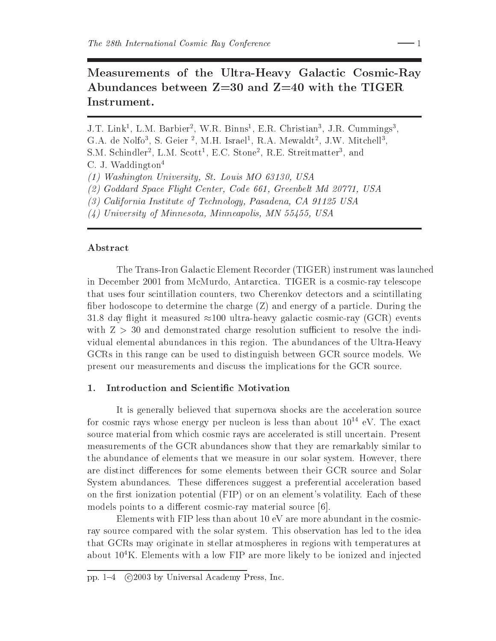# Measurements of the Ultra-Heavy Galactic Cosmic-Ray Abundances between  $Z=30$  and  $Z=40$  with the TIGER Instrument.

J.T. Link<sup>1</sup>, L.M. Barbier<sup>2</sup>, W.R. Binns<sup>1</sup>, E.R. Christian<sup>3</sup>, J.R. Cummings<sup>3</sup>, G.A. de Nolfo<sup>3</sup>, S. Geier<sup>2</sup>, M.H. Israel<sup>1</sup>, R.A. Mewaldt<sup>2</sup>, J.W. Mitchell<sup>3</sup>, S.M. Schindler<sup>2</sup>, L.M. Scott<sup>1</sup>, E.C. Stone<sup>2</sup>, R.E. Streitmatter<sup>3</sup>, and C. J. Waddington<sup>4</sup> (1) Washington University, St. Louis MO 63130, USA (2) Goddard Space Flight Center, Code 661, Greenbelt Md 20771, USA

- (3) California Institute of Technology, Pasadena, CA 91125 USA
- $(4)$  University of Minnesota, Minneapolis, MN 55455, USA

# Abstract

The Trans-Iron Galactic Element Recorder (TIGER) instrument was launched in December 2001 from McMurdo, Antarctica. TIGER is a cosmic-ray telescope that uses four scintillation counters, two Cherenkov detectors and a scintillating fiber hodoscope to determine the charge  $(Z)$  and energy of a particle. During the 31.8 day flight it measured  $\approx$ 100 ultra-heavy galactic cosmic-ray (GCR) events with  $Z > 30$  and demonstrated charge resolution sufficient to resolve the individual elemental abundances in this region. The abundances of the Ultra-Heavy GCRs in this range can be used to distinguish between GCR source models. We present our measurements and discuss the implications for the GCR source.

#### Introduction and Scientific Motivation 1.

It is generally believed that supernova shocks are the acceleration source for cosmic rays whose energy per nucleon is less than about  $10^{14}$  eV. The exact source material from which cosmic rays are accelerated is still uncertain. Present measurements of the GCR abundances show that they are remarkably similar to the abundance of elements that we measure in our solar system. However, there are distinct differences for some elements between their GCR source and Solar System abundances. These differences suggest a preferential acceleration based on the first ionization potential (FIP) or on an element's volatility. Each of these models points to a different cosmic-ray material source [6].

Elements with FIP less than about 10 eV are more abundant in the cosmicray source compared with the solar system. This observation has led to the idea that GCRs may originate in stellar atmospheres in regions with temperatures at about  $10^4$ K. Elements with a low FIP are more likely to be ionized and injected

pp. 1-4 (c)2003 by Universal Academy Press, Inc.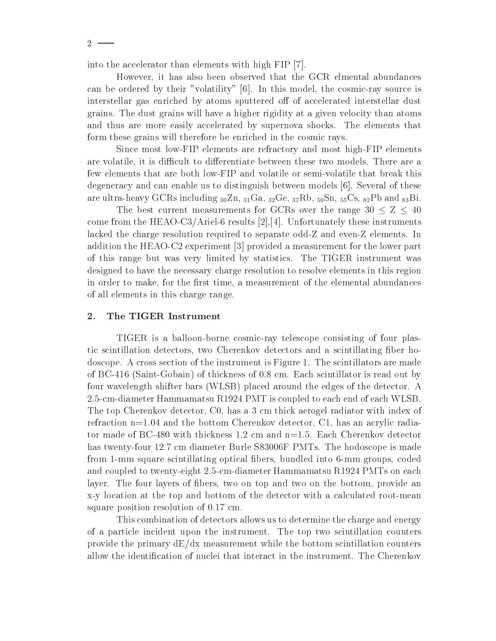$2 -$ 

into the accelerator than elements with high FIP [7].

However, it has also been observed that the GCR elmental abundances can be ordered by their "volatility" [6]. In this model, the cosmic-ray source is interstellar gas enriched by atoms sputtered off of accelerated interstellar dust grains. The dust grains will have a higher rigidity at a given velocity than atoms and thus are more easily accelerated by supernova shocks. The elements that form these grains will therefore be enriched in the cosmic rays.

Since most low-FIP elements are refractory and most high-FIP elements are volatile, it is difficult to differentiate between these two models. There are a few elements that are both low-FIP and volatile or semi-volatile that break this degeneracy and can enable us to distinguish between models  $[6]$ . Several of these are ultra-heavy GCRs including  ${}_{30}Zn$ ,  ${}_{31}Ga$ ,  ${}_{32}Ge$ ,  ${}_{37}Rb$ ,  ${}_{50}Sn$ ,  ${}_{55}Cs$ ,  ${}_{82}Pb$  and  ${}_{83}Bi$ .

The best current measurements for GCRs over the range  $30 \le Z \le 40$ come from the HEAO-C3/Ariel-6 results  $[2], [4]$ . Unfortunately these instruments lacked the charge resolution required to separate odd-Z and even-Z elements. In addition the HEAO-C2 experiment [3] provided a measurement for the lower part of this range but was very limited by statistics. The TIGER instrument was designed to have the necessary charge resolution to resolve elements in this region in order to make, for the first time, a measurement of the elemental abundances of all elements in this charge range.

#### 2. The TIGER Instrument

TIGER is a balloon-borne cosmic-ray telescope consisting of four plastic scintillation detectors, two Cherenkov detectors and a scintillating fiber hodoscope. A cross section of the instrument is Figure 1. The scintillators are made of BC-416 (Saint-Gobain) of thickness of 0.8 cm. Each scintillator is read out by four wavelength shifter bars (WLSB) placed around the edges of the detector. A 2.5-cm-diameter Hammamatsu R1924 PMT is coupled to each end of each WLSB. The top Cherenkov detector, C0, has a 3 cm thick aerogel radiator with index of refraction  $n=1.04$  and the bottom Cherenkov detector, C1, has an acrylic radiator made of BC-480 with thickness 1.2 cm and  $n=1.5$ . Each Cherenkov detector has twenty-four 12.7 cm diameter Burle S83006F PMTs. The hodoscope is made from 1-mm square scintillating optical fibers, bundled into 6-mm groups, coded and coupled to twenty-eight 2.5-cm-diameter Hammamatsu R1924 PMTs on each layer. The four layers of fibers, two on top and two on the bottom, provide an x-y location at the top and bottom of the detector with a calculated root-mean square position resolution of 0.17 cm.

This combination of detectors allows us to determine the charge and energy of a particle incident upon the instrument. The top two scintillation counters provide the primary  $dE/dx$  measurement while the bottom scintillation counters allow the identification of nuclei that interact in the instrument. The Cherenkov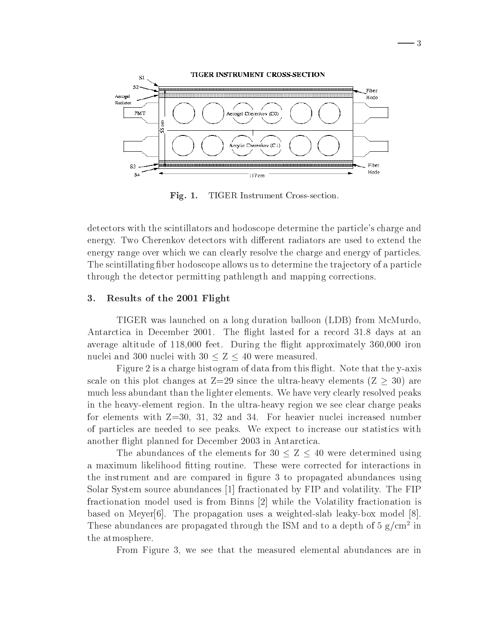

- 3

Fig.  $1$ . TIGER Instrument Cross-section.

detectors with the scintillators and hodoscope determine the particle's charge and energy. Two Cherenkov detectors with different radiators are used to extend the energy range over which we can clearly resolve the charge and energy of particles. The scintillating fiber hodoscope allows us to determine the trajectory of a particle through the detector permitting pathlength and mapping corrections.

## Results of the 2001 Flight 3.

TIGER was launched on a long duration balloon (LDB) from McMurdo. Antarctica in December 2001. The flight lasted for a record 31.8 days at an average altitude of 118,000 feet. During the flight approximately 360,000 iron nuclei and 300 nuclei with  $30 < Z < 40$  were measured.

Figure 2 is a charge histogram of data from this flight. Note that the y-axis scale on this plot changes at  $Z=29$  since the ultra-heavy elements  $(Z \geq 30)$  are much less abundant than the lighter elements. We have very clearly resolved peaks in the heavy-element region. In the ultra-heavy region we see clear charge peaks for elements with  $Z=30$ , 31, 32 and 34. For heavier nuclei increased number of particles are needed to see peaks. We expect to increase our statistics with another flight planned for December 2003 in Antarctica.

The abundances of the elements for  $30 \le Z \le 40$  were determined using a maximum likelihood fitting routine. These were corrected for interactions in the instrument and are compared in figure 3 to propagated abundances using Solar System source abundances [1] fractionated by FIP and volatility. The FIP fractionation model used is from Binns [2] while the Volatility fractionation is based on Meyer<sup>[6]</sup>. The propagation uses a weighted-slab leaky-box model  $[8]$ . These abundances are propagated through the ISM and to a depth of  $5 g/cm^2$  in the atmosphere.

From Figure 3, we see that the measured elemental abundances are in